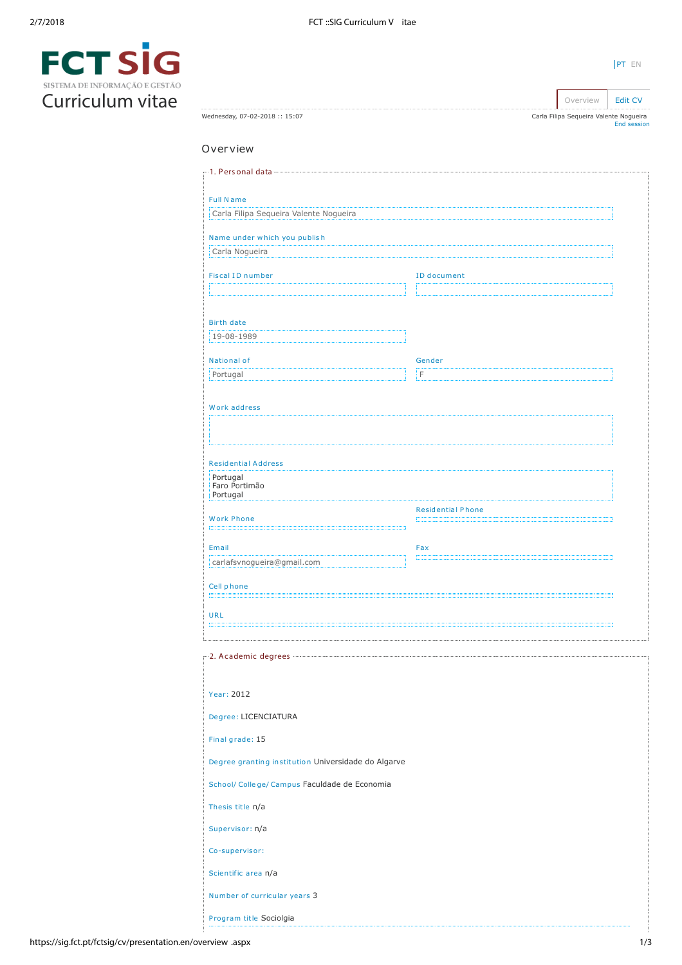|                                | SIL |
|--------------------------------|-----|
| SISTEMA DE INFORMAÇÃO E GESTÃO |     |
| Curriculum vitae               |     |

| Wednesday, 07-02-2018 :: 15:07                      | Carla Filipa Sequeira Valente Nogueira | End session |
|-----------------------------------------------------|----------------------------------------|-------------|
| Overview                                            |                                        |             |
|                                                     |                                        |             |
|                                                     |                                        |             |
| <b>Full Name</b>                                    |                                        |             |
| Carla Filipa Sequeira Valente Nogueira              |                                        |             |
| Name under which you publish                        |                                        |             |
| Carla Nogueira                                      |                                        |             |
| <b>Fiscal ID number</b>                             | <b>ID</b> document                     |             |
|                                                     |                                        |             |
| <b>Birth date</b>                                   |                                        |             |
| 19-08-1989                                          |                                        |             |
| National of                                         | Gender                                 |             |
| Portugal                                            | iΓ                                     |             |
| Work address                                        |                                        |             |
|                                                     |                                        |             |
|                                                     |                                        |             |
| <b>Residential Address</b>                          |                                        |             |
| Portugal<br>Faro Portimão                           |                                        |             |
| Portugal                                            |                                        |             |
| <b>Work Phone</b>                                   | <b>Residential Phone</b>               |             |
| Email                                               | Fax                                    |             |
| carlafsvnogueira@gmail.com                          | m                                      |             |
| Cell phone                                          |                                        |             |
|                                                     |                                        |             |
| <b>URL</b>                                          |                                        |             |
|                                                     |                                        |             |
|                                                     |                                        |             |
|                                                     |                                        |             |
| Year: 2012                                          |                                        |             |
| Degree: LICENCIATURA                                |                                        |             |
| Final grade: 15                                     |                                        |             |
| Degree granting institution Universidade do Algarve |                                        |             |
| School/ College/ Campus Faculdade de Economia       |                                        |             |
| Thesis title n/a                                    |                                        |             |
| Supervisor: n/a                                     |                                        |             |
| Co-supervisor:                                      |                                        |             |
| Scientific area n/a                                 |                                        |             |
|                                                     |                                        |             |
| Number of curricular years 3                        |                                        |             |
| Program title Sociolgia                             |                                        |             |

[PT](https://sig.fct.pt/fctsig/cv/presentation.pt/overview.aspx) EN

Overview **[Edit CV](https://sig.fct.pt/fctsig/cv/presentation.en/editCV.aspx)**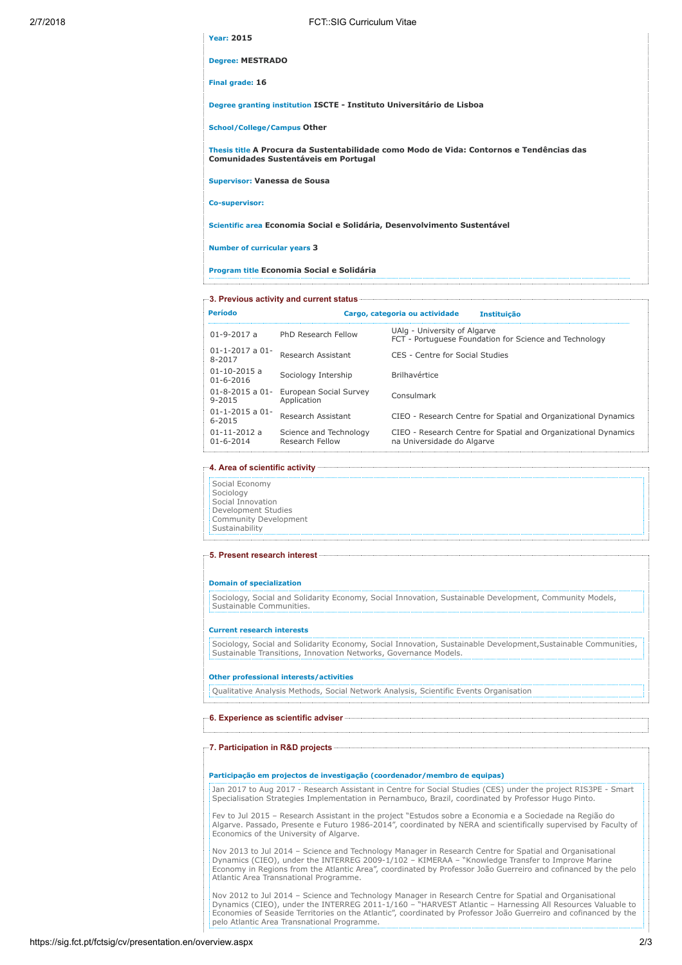| 2/7/2018 | <b>FCT::SIG Curriculum Vitae</b>                                                                                                                                                                                                    |
|----------|-------------------------------------------------------------------------------------------------------------------------------------------------------------------------------------------------------------------------------------|
|          | <b>Year: 2015</b>                                                                                                                                                                                                                   |
|          | <b>Degree: MESTRADO</b>                                                                                                                                                                                                             |
|          | Final grade: 16                                                                                                                                                                                                                     |
|          | Degree granting institution ISCTE - Instituto Universitário de Lisboa                                                                                                                                                               |
|          | <b>School/College/Campus Other</b>                                                                                                                                                                                                  |
|          | Thesis title A Procura da Sustentabilidade como Modo de Vida: Contornos e Tendências das<br><b>Comunidades Sustentáveis em Portugal</b>                                                                                             |
|          | Supervisor: Vanessa de Sousa                                                                                                                                                                                                        |
|          | Co-supervisor:                                                                                                                                                                                                                      |
|          | Scientific area Economia Social e Solidária, Desenvolvimento Sustentável                                                                                                                                                            |
|          | <b>Number of curricular years 3</b>                                                                                                                                                                                                 |
|          | Program title Economia Social e Solidária                                                                                                                                                                                           |
|          | Fig. 3. Previous activity and current status <b>contract and current status</b> and the content of the content of the content of the content of the content of the content of the content of the content of the content of the cont |
|          |                                                                                                                                                                                                                                     |

|                                                                   | Cargo, categoria ou actividade<br><b>Instituicão</b>                                         |
|-------------------------------------------------------------------|----------------------------------------------------------------------------------------------|
| PhD Research Fellow                                               | UAlg - University of Algarve<br>FCT - Portuguese Foundation for Science and Technology       |
| Research Assistant                                                | CES - Centre for Social Studies                                                              |
| Sociology Intership                                               | <b>Brilhavértice</b>                                                                         |
| $01 - 8 - 2015$ a $01 -$<br>European Social Survey<br>Application | Consulmark                                                                                   |
| Research Assistant                                                | CIEO - Research Centre for Spatial and Organizational Dynamics                               |
| Science and Technology<br>Research Fellow                         | CIEO - Research Centre for Spatial and Organizational Dynamics<br>na Universidade do Algarve |
|                                                                   |                                                                                              |

# 4. Area of scientific activity

Social Economy Sociology Social Innovation Development Studies Community Development Sustainability

# 5. Present research interest

#### Domain of specialization

Sociology, Social and Solidarity Economy, Social Innovation, Sustainable Development, Community Models, Sustainable Communities.

### Current research interests

Sociology, Social and Solidarity Economy, Social Innovation, Sustainable Development,Sustainable Communities, Sustainable Transitions, Innovation Networks, Governance Models.

#### Other professional interests/activities

Qualitative Analysis Methods, Social Network Analysis, Scientific Events Organisation

# 6. Experience as scientific adviser

#### 7. Participation in R&D projects

# Participação em projectos de investigação (coordenador/membro de equipas)

Jan 2017 to Aug 2017 - Research Assistant in Centre for Social Studies (CES) under the project RIS3PE - Smart Specialisation Strategies Implementation in Pernambuco, Brazil, coordinated by Professor Hugo Pinto.

Fev to Jul 2015 – Research Assistant in the project "Estudos sobre a Economia e a Sociedade na Região do Algarve. Passado, Presente e Futuro 1986-2014", coordinated by NERA and scientifically supervised by Faculty of Economics of the University of Algarve.

Nov 2013 to Jul 2014 – Science and Technology Manager in Research Centre for Spatial and Organisational Dynamics (CIEO), under the INTERREG 2009-1/102 – KIMERAA – "Knowledge Transfer to Improve Marine Economy in Regions from the Atlantic Area", coordinated by Professor João Guerreiro and cofinanced by the pelo Atlantic Area Transnational Programme.

Nov 2012 to Jul 2014 – Science and Technology Manager in Research Centre for Spatial and Organisational Dynamics (CIEO), under the INTERREG 2011-1/160 – "HARVEST Atlantic – Harnessing All Resources Valuable to Economies of Seaside Territories on the Atlantic", coordinated by Professor João Guerreiro and cofinanced by the pelo Atlantic Area Transnational Programme.